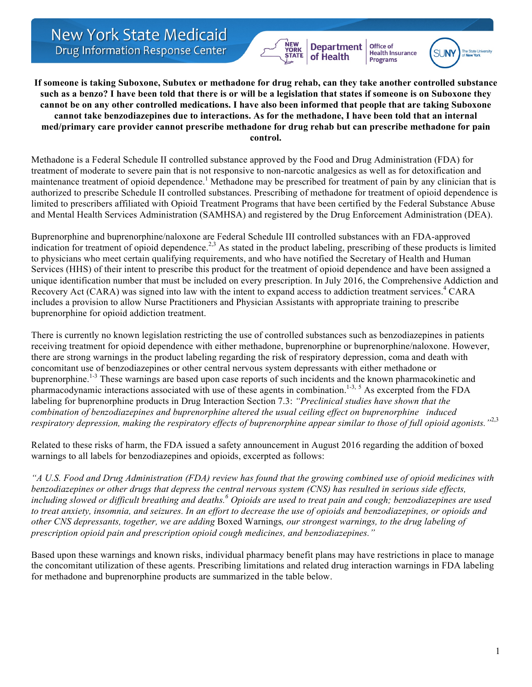**New York State Medicaid Drug Information Response Center** 

**If someone is taking Suboxone, Subutex or methadone for drug rehab, can they take another controlled substance such as a benzo? I have been told that there is or will be a legislation that states if someone is on Suboxone they cannot be on any other controlled medications. I have also been informed that people that are taking Suboxone cannot take benzodiazepines due to interactions. As for the methadone, I have been told that an internal med/primary care provider cannot prescribe methadone for drug rehab but can prescribe methadone for pain control.**

**Department** 

of Health

**Office of** 

**Programs** 

**Health Insurance** 

Methadone is a Federal Schedule II controlled substance approved by the Food and Drug Administration (FDA) for treatment of moderate to severe pain that is not responsive to non-narcotic analgesics as well as for detoxification and maintenance treatment of opioid dependence.<sup>1</sup> Methadone may be prescribed for treatment of pain by any clinician that is authorized to prescribe Schedule II controlled substances. Prescribing of methadone for treatment of opioid dependence is limited to prescribers affiliated with Opioid Treatment Programs that have been certified by the Federal Substance Abuse and Mental Health Services Administration (SAMHSA) and registered by the Drug Enforcement Administration (DEA).

Buprenorphine and buprenorphine/naloxone are Federal Schedule III controlled substances with an FDA-approved indication for treatment of opioid dependence.<sup>2,3</sup> As stated in the product labeling, prescribing of these products is limited to physicians who meet certain qualifying requirements, and who have notified the Secretary of Health and Human Services (HHS) of their intent to prescribe this product for the treatment of opioid dependence and have been assigned a unique identification number that must be included on every prescription. In July 2016, the Comprehensive Addiction and Recovery Act (CARA) was signed into law with the intent to expand access to addiction treatment services.<sup>4</sup> CARA includes a provision to allow Nurse Practitioners and Physician Assistants with appropriate training to prescribe buprenorphine for opioid addiction treatment.

There is currently no known legislation restricting the use of controlled substances such as benzodiazepines in patients receiving treatment for opioid dependence with either methadone, buprenorphine or buprenorphine/naloxone. However, there are strong warnings in the product labeling regarding the risk of respiratory depression, coma and death with concomitant use of benzodiazepines or other central nervous system depressants with either methadone or buprenorphine.<sup>1-3</sup> These warnings are based upon case reports of such incidents and the known pharmacokinetic and pharmacodynamic interactions associated with use of these agents in combination.<sup>1-3, 5</sup> As excerpted from the FDA labeling for buprenorphine products in Drug Interaction Section 7.3: *"Preclinical studies have shown that the combination of benzodiazepines and buprenorphine altered the usual ceiling effect on buprenorphine induced respiratory depression, making the respiratory effects of buprenorphine appear similar to those of full opioid agonists."*2,3

Related to these risks of harm, the FDA issued a safety announcement in August 2016 regarding the addition of boxed warnings to all labels for benzodiazepines and opioids, excerpted as follows:

*"A U.S. Food and Drug Administration (FDA) review has found that the growing combined use of opioid medicines with benzodiazepines or other drugs that depress the central nervous system (CNS) has resulted in serious side effects, including slowed or difficult breathing and deaths.<sup>6</sup> Opioids are used to treat pain and cough; benzodiazepines are used to treat anxiety, insomnia, and seizures. In an effort to decrease the use of opioids and benzodiazepines, or opioids and other CNS depressants, together, we are adding* Boxed Warnings*, our strongest warnings, to the drug labeling of prescription opioid pain and prescription opioid cough medicines, and benzodiazepines."*

Based upon these warnings and known risks, individual pharmacy benefit plans may have restrictions in place to manage the concomitant utilization of these agents. Prescribing limitations and related drug interaction warnings in FDA labeling for methadone and buprenorphine products are summarized in the table below.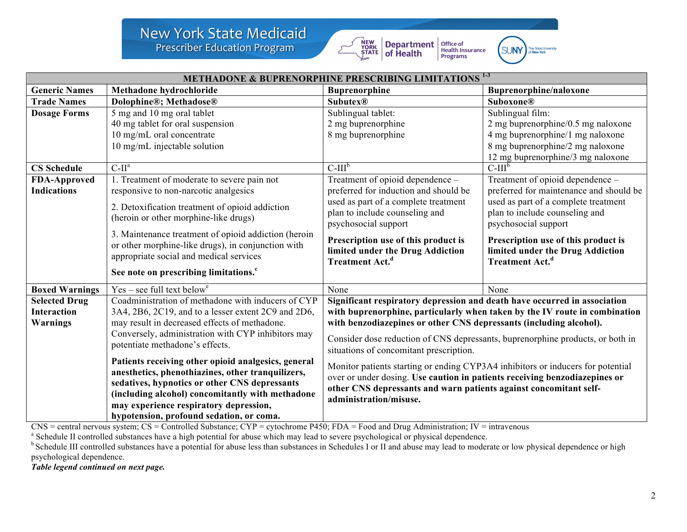# **New York State Medicaid**

**Prescriber Education Program** 



 $\begin{array}{|l|l|} \hline \textbf{Department} & \textbf{Office of} \\ \hline \textbf{of Health Insurance} & \textbf{Health Insurance} \\ \hline \textbf{Programs} & \textbf{Programs} \\ \hline \end{array}$ 



| <b>METHADONE &amp; BUPRENORPHINE PRESCRIBING LIMITATIONS<sup>13</sup></b> |                                                      |                                                                                                                                                                                                                                                              |                                         |
|---------------------------------------------------------------------------|------------------------------------------------------|--------------------------------------------------------------------------------------------------------------------------------------------------------------------------------------------------------------------------------------------------------------|-----------------------------------------|
| <b>Generic Names</b>                                                      | Methadone hydrochloride                              | <b>Buprenorphine</b>                                                                                                                                                                                                                                         | Buprenorphine/naloxone                  |
| <b>Trade Names</b>                                                        | Dolophine®; Methadose®                               | <b>Subutex®</b>                                                                                                                                                                                                                                              | <b>Suboxone®</b>                        |
| <b>Dosage Forms</b>                                                       | 5 mg and 10 mg oral tablet                           | Sublingual tablet:                                                                                                                                                                                                                                           | Sublingual film:                        |
|                                                                           | 40 mg tablet for oral suspension                     | 2 mg buprenorphine                                                                                                                                                                                                                                           | 2 mg buprenorphine/0.5 mg naloxone      |
|                                                                           | 10 mg/mL oral concentrate                            | 8 mg buprenorphine                                                                                                                                                                                                                                           | 4 mg buprenorphine/1 mg naloxone        |
|                                                                           | 10 mg/mL injectable solution                         |                                                                                                                                                                                                                                                              | 8 mg buprenorphine/2 mg naloxone        |
|                                                                           |                                                      |                                                                                                                                                                                                                                                              | 12 mg buprenorphine/3 mg naloxone       |
| <b>CS Schedule</b>                                                        | $C-IIa$                                              | $C-IIIp$                                                                                                                                                                                                                                                     | $C-IIIb$                                |
| <b>FDA-Approved</b>                                                       | 1. Treatment of moderate to severe pain not          | Treatment of opioid dependence -                                                                                                                                                                                                                             | Treatment of opioid dependence -        |
| <b>Indications</b>                                                        | responsive to non-narcotic analgesics                | preferred for induction and should be                                                                                                                                                                                                                        | preferred for maintenance and should be |
|                                                                           | 2. Detoxification treatment of opioid addiction      | used as part of a complete treatment                                                                                                                                                                                                                         | used as part of a complete treatment    |
|                                                                           | (heroin or other morphine-like drugs)                | plan to include counseling and                                                                                                                                                                                                                               | plan to include counseling and          |
|                                                                           |                                                      | psychosocial support                                                                                                                                                                                                                                         | psychosocial support                    |
|                                                                           | 3. Maintenance treatment of opioid addiction (heroin | Prescription use of this product is                                                                                                                                                                                                                          | Prescription use of this product is     |
|                                                                           | or other morphine-like drugs), in conjunction with   | limited under the Drug Addiction                                                                                                                                                                                                                             | limited under the Drug Addiction        |
|                                                                           | appropriate social and medical services              | Treatment Act. <sup>d</sup>                                                                                                                                                                                                                                  | Treatment Act. <sup>d</sup>             |
|                                                                           | See note on prescribing limitations. <sup>c</sup>    |                                                                                                                                                                                                                                                              |                                         |
|                                                                           |                                                      |                                                                                                                                                                                                                                                              |                                         |
| <b>Boxed Warnings</b>                                                     | $Yes - see full text belowe$                         | None                                                                                                                                                                                                                                                         | None                                    |
| <b>Selected Drug</b>                                                      | Coadministration of methadone with inducers of CYP   | Significant respiratory depression and death have occurred in association                                                                                                                                                                                    |                                         |
| <b>Interaction</b>                                                        | 3A4, 2B6, 2C19, and to a lesser extent 2C9 and 2D6,  | with buprenorphine, particularly when taken by the IV route in combination                                                                                                                                                                                   |                                         |
| <b>Warnings</b>                                                           | may result in decreased effects of methadone.        | with benzodiazepines or other CNS depressants (including alcohol).<br>Consider dose reduction of CNS depressants, buprenorphine products, or both in<br>situations of concomitant prescription.                                                              |                                         |
|                                                                           | Conversely, administration with CYP inhibitors may   |                                                                                                                                                                                                                                                              |                                         |
|                                                                           | potentiate methadone's effects.                      |                                                                                                                                                                                                                                                              |                                         |
|                                                                           | Patients receiving other opioid analgesics, general  | Monitor patients starting or ending CYP3A4 inhibitors or inducers for potential<br>over or under dosing. Use caution in patients receiving benzodiazepines or<br>other CNS depressants and warn patients against concomitant self-<br>administration/misuse. |                                         |
|                                                                           | anesthetics, phenothiazines, other tranquilizers,    |                                                                                                                                                                                                                                                              |                                         |
|                                                                           | sedatives, hypnotics or other CNS depressants        |                                                                                                                                                                                                                                                              |                                         |
|                                                                           | (including alcohol) concomitantly with methadone     |                                                                                                                                                                                                                                                              |                                         |
|                                                                           | may experience respiratory depression,               |                                                                                                                                                                                                                                                              |                                         |
|                                                                           | hypotension, profound sedation, or coma.             |                                                                                                                                                                                                                                                              |                                         |

 $\overline{C}$ NS = central nervous system; CS = Controlled Substance; CYP = cytochrome P450; FDA = Food and Drug Administration; IV = intravenous a Schedule II controlled substances have a high potential for abuse which may lea

<sup>b</sup> Schedule III controlled substances have a potential for abuse less than substances in Schedules I or II and abuse may lead to moderate or low physical dependence or high psychological dependence.

*Table legend continued on next page.*